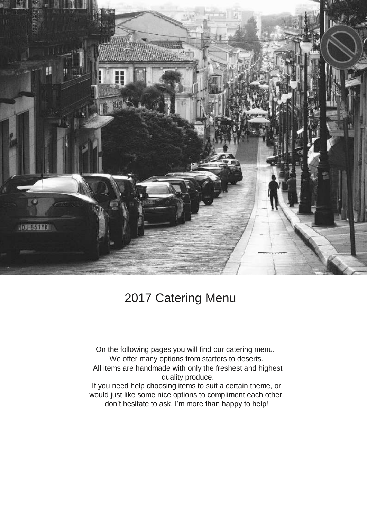

# 2017 Catering Menu

On the following pages you will find our catering menu. We offer many options from starters to deserts. All items are handmade with only the freshest and highest quality produce. If you need help choosing items to suit a certain theme, or would just like some nice options to compliment each other, don't hesitate to ask, I'm more than happy to help!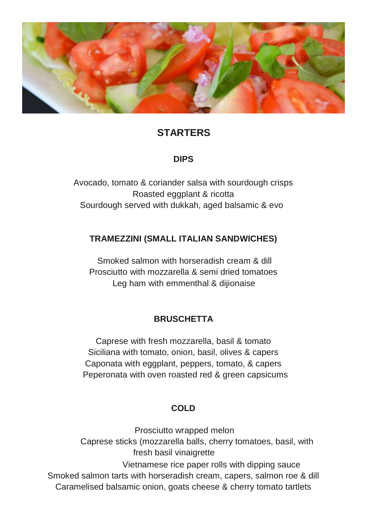

## **STARTERS**

#### **DIPS**

Avocado, tomato & coriander salsa with sourdough crisps Roasted eggplant & ricotta Sourdough served with dukkah, aged balsamic & evo

#### **TRAMEZZINI (SMALL ITALIAN SANDWICHES)**

Smoked salmon with horseradish cream & dill Prosciutto with mozzarella & semi dried tomatoes Leg ham with emmenthal & dijionaise

#### **BRUSCHETTA**

Caprese with fresh mozzarella, basil & tomato Siciliana with tomato, onion, basil, olives & capers Caponata with eggplant, peppers, tomato, & capers Peperonata with oven roasted red & green capsicums

#### **COLD**

Prosciutto wrapped melon Caprese sticks (mozzarella balls, cherry tomatoes, basil, with fresh basil vinaigrette Vietnamese rice paper rolls with dipping sauce Smoked salmon tarts with horseradish cream, capers, salmon roe & dill Caramelised balsamic onion, goats cheese & cherry tomato tartlets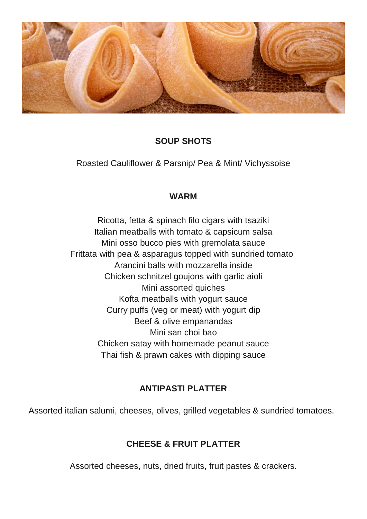

## **SOUP SHOTS**

Roasted Cauliflower & Parsnip/ Pea & Mint/ Vichyssoise

#### **WARM**

Ricotta, fetta & spinach filo cigars with tsaziki Italian meatballs with tomato & capsicum salsa Mini osso bucco pies with gremolata sauce Frittata with pea & asparagus topped with sundried tomato Arancini balls with mozzarella inside Chicken schnitzel goujons with garlic aioli Mini assorted quiches Kofta meatballs with yogurt sauce Curry puffs (veg or meat) with yogurt dip Beef & olive empanandas Mini san choi bao Chicken satay with homemade peanut sauce Thai fish & prawn cakes with dipping sauce

#### **ANTIPASTI PLATTER**

Assorted italian salumi, cheeses, olives, grilled vegetables & sundried tomatoes.

## **CHEESE & FRUIT PLATTER**

Assorted cheeses, nuts, dried fruits, fruit pastes & crackers.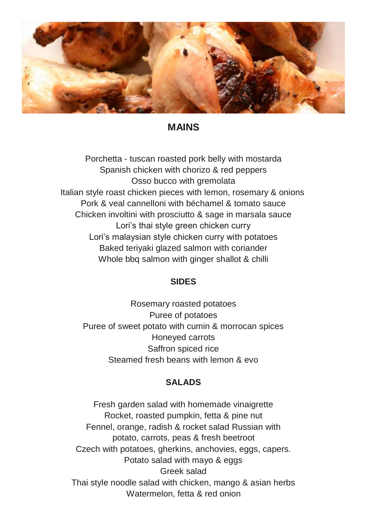

### **MAINS**

Porchetta - tuscan roasted pork belly with mostarda Spanish chicken with chorizo & red peppers Osso bucco with gremolata Italian style roast chicken pieces with lemon, rosemary & onions Pork & veal cannelloni with béchamel & tomato sauce Chicken involtini with prosciutto & sage in marsala sauce Lori's thai style green chicken curry Lori's malaysian style chicken curry with potatoes Baked teriyaki glazed salmon with coriander Whole bbq salmon with ginger shallot & chilli

#### **SIDES**

Rosemary roasted potatoes Puree of potatoes Puree of sweet potato with cumin & morrocan spices Honeyed carrots Saffron spiced rice Steamed fresh beans with lemon & evo

#### **SALADS**

Fresh garden salad with homemade vinaigrette Rocket, roasted pumpkin, fetta & pine nut Fennel, orange, radish & rocket salad Russian with potato, carrots, peas & fresh beetroot Czech with potatoes, gherkins, anchovies, eggs, capers. Potato salad with mayo & eggs Greek salad Thai style noodle salad with chicken, mango & asian herbs Watermelon, fetta & red onion